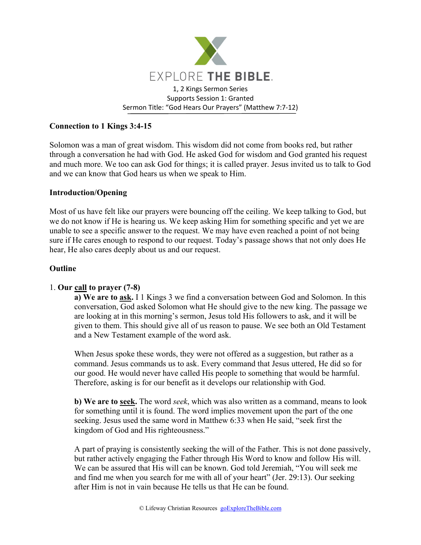

## **Connection to 1 Kings 3:4-15**

Solomon was a man of great wisdom. This wisdom did not come from books red, but rather through a conversation he had with God. He asked God for wisdom and God granted his request and much more. We too can ask God for things; it is called prayer. Jesus invited us to talk to God and we can know that God hears us when we speak to Him.

## **Introduction/Opening**

Most of us have felt like our prayers were bouncing off the ceiling. We keep talking to God, but we do not know if He is hearing us. We keep asking Him for something specific and yet we are unable to see a specific answer to the request. We may have even reached a point of not being sure if He cares enough to respond to our request. Today's passage shows that not only does He hear, He also cares deeply about us and our request.

## **Outline**

# 1. **Our call to prayer (7-8)**

**a) We are to ask.** I 1 Kings 3 we find a conversation between God and Solomon. In this conversation, God asked Solomon what He should give to the new king. The passage we are looking at in this morning's sermon, Jesus told His followers to ask, and it will be given to them. This should give all of us reason to pause. We see both an Old Testament and a New Testament example of the word ask.

When Jesus spoke these words, they were not offered as a suggestion, but rather as a command. Jesus commands us to ask. Every command that Jesus uttered, He did so for our good. He would never have called His people to something that would be harmful. Therefore, asking is for our benefit as it develops our relationship with God.

**b) We are to seek.** The word *seek*, which was also written as a command, means to look for something until it is found. The word implies movement upon the part of the one seeking. Jesus used the same word in Matthew 6:33 when He said, "seek first the kingdom of God and His righteousness."

A part of praying is consistently seeking the will of the Father. This is not done passively, but rather actively engaging the Father through His Word to know and follow His will. We can be assured that His will can be known. God told Jeremiah, "You will seek me and find me when you search for me with all of your heart" (Jer. 29:13). Our seeking after Him is not in vain because He tells us that He can be found.